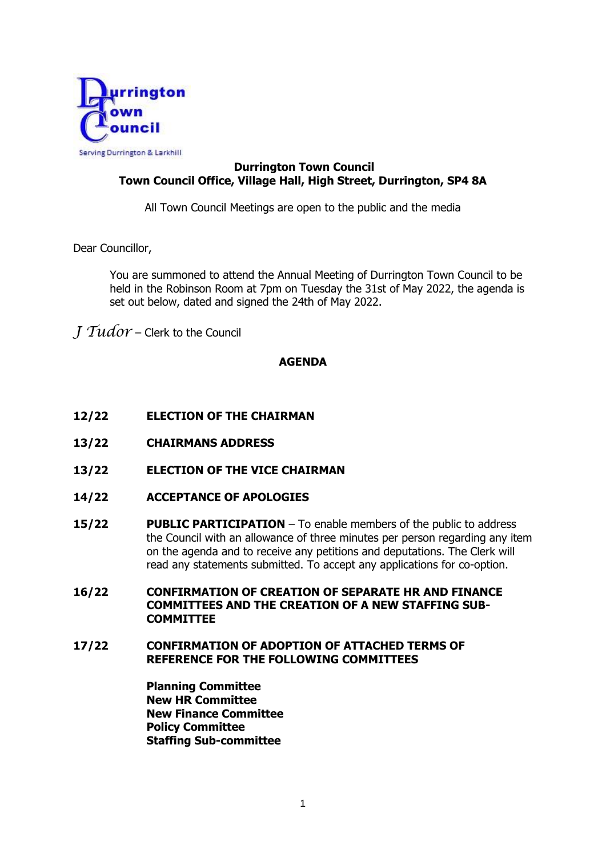

# **Durrington Town Council Town Council Office, Village Hall, High Street, Durrington, SP4 8A**

All Town Council Meetings are open to the public and the media

Dear Councillor,

You are summoned to attend the Annual Meeting of Durrington Town Council to be held in the Robinson Room at 7pm on Tuesday the 31st of May 2022, the agenda is set out below, dated and signed the 24th of May 2022.

*J Tudor* – Clerk to the Council

### **AGENDA**

- **12/22 ELECTION OF THE CHAIRMAN**
- **13/22 CHAIRMANS ADDRESS**
- **13/22 ELECTION OF THE VICE CHAIRMAN**
- **14/22 ACCEPTANCE OF APOLOGIES**
- **15/22 PUBLIC PARTICIPATION**  To enable members of the public to address the Council with an allowance of three minutes per person regarding any item on the agenda and to receive any petitions and deputations. The Clerk will read any statements submitted. To accept any applications for co-option.
- **16/22 CONFIRMATION OF CREATION OF SEPARATE HR AND FINANCE COMMITTEES AND THE CREATION OF A NEW STAFFING SUB-COMMITTEE**
- **17/22 CONFIRMATION OF ADOPTION OF ATTACHED TERMS OF REFERENCE FOR THE FOLLOWING COMMITTEES**

**Planning Committee New HR Committee New Finance Committee Policy Committee Staffing Sub-committee**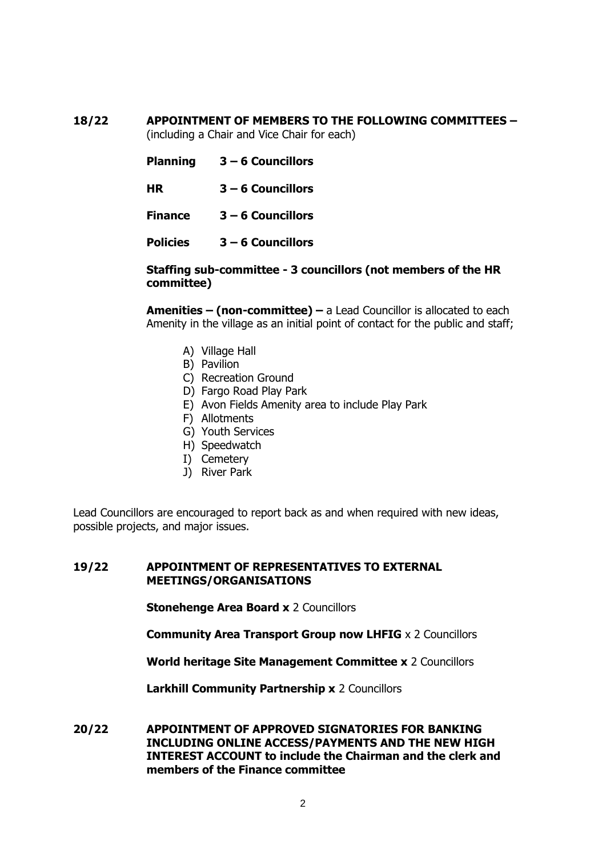# **18/22 APPOINTMENT OF MEMBERS TO THE FOLLOWING COMMITTEES –**

(including a Chair and Vice Chair for each)

- **Planning 3 – 6 Councillors**
- **HR 3 – 6 Councillors**
- **Finance 3 – 6 Councillors**
- **Policies 3 – 6 Councillors**

#### **Staffing sub-committee - 3 councillors (not members of the HR committee)**

**Amenities – (non-committee) –** a Lead Councillor is allocated to each Amenity in the village as an initial point of contact for the public and staff;

- A) Village Hall
- B) Pavilion
- C) Recreation Ground
- D) Fargo Road Play Park
- E) Avon Fields Amenity area to include Play Park
- F) Allotments
- G) Youth Services
- H) Speedwatch
- I) Cemetery
- J) River Park

Lead Councillors are encouraged to report back as and when required with new ideas, possible projects, and major issues.

#### **19/22 APPOINTMENT OF REPRESENTATIVES TO EXTERNAL MEETINGS/ORGANISATIONS**

**Stonehenge Area Board x** 2 Councillors

**Community Area Transport Group now LHFIG** x 2 Councillors

**World heritage Site Management Committee x** 2 Councillors

**Larkhill Community Partnership x** 2 Councillors

**20/22 APPOINTMENT OF APPROVED SIGNATORIES FOR BANKING INCLUDING ONLINE ACCESS/PAYMENTS AND THE NEW HIGH INTEREST ACCOUNT to include the Chairman and the clerk and members of the Finance committee**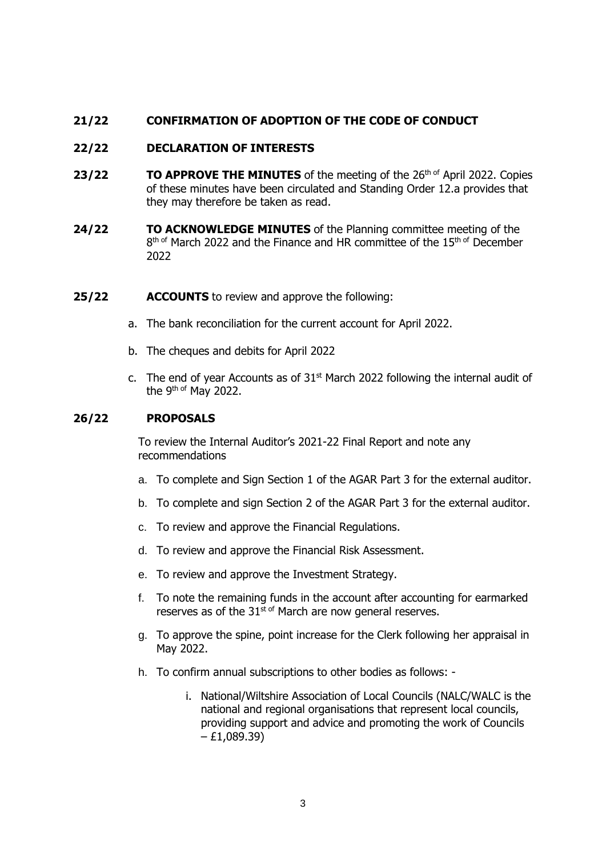# **21/22 CONFIRMATION OF ADOPTION OF THE CODE OF CONDUCT**

### **22/22 DECLARATION OF INTERESTS**

- **23/22 TO APPROVE THE MINUTES** of the meeting of the 26<sup>th of</sup> April 2022. Copies of these minutes have been circulated and Standing Order 12.a provides that they may therefore be taken as read.
- **24/22 TO ACKNOWLEDGE MINUTES** of the Planning committee meeting of the 8<sup>th of</sup> March 2022 and the Finance and HR committee of the 15<sup>th of</sup> December 2022
- **25/22 ACCOUNTS** to review and approve the following:
	- a. The bank reconciliation for the current account for April 2022.
	- b. The cheques and debits for April 2022
	- c. The end of year Accounts as of  $31<sup>st</sup>$  March 2022 following the internal audit of the 9<sup>th of</sup> May 2022.

#### **26/22 PROPOSALS**

To review the Internal Auditor's 2021-22 Final Report and note any recommendations

- a. To complete and Sign Section 1 of the AGAR Part 3 for the external auditor.
- b. To complete and sign Section 2 of the AGAR Part 3 for the external auditor.
- c. To review and approve the Financial Regulations.
- d. To review and approve the Financial Risk Assessment.
- e. To review and approve the Investment Strategy.
- f. To note the remaining funds in the account after accounting for earmarked reserves as of the 31<sup>st of</sup> March are now general reserves.
- g. To approve the spine, point increase for the Clerk following her appraisal in May 2022.
- h. To confirm annual subscriptions to other bodies as follows:
	- i. National/Wiltshire Association of Local Councils (NALC/WALC is the national and regional organisations that represent local councils, providing support and advice and promoting the work of Councils  $- E1,089,39)$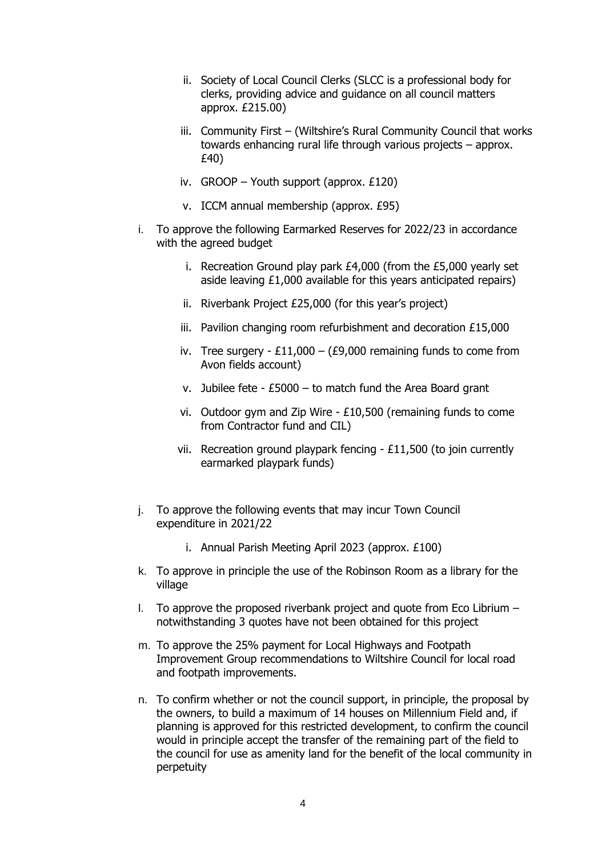- ii. Society of Local Council Clerks (SLCC is a professional body for clerks, providing advice and guidance on all council matters approx. £215.00)
- iii. Community First (Wiltshire's Rural Community Council that works towards enhancing rural life through various projects – approx. £40)
- iv. GROOP Youth support (approx. £120)
- v. ICCM annual membership (approx. £95)
- i. To approve the following Earmarked Reserves for 2022/23 in accordance with the agreed budget
	- i. Recreation Ground play park £4,000 (from the £5,000 yearly set aside leaving £1,000 available for this years anticipated repairs)
	- ii. Riverbank Project £25,000 (for this year's project)
	- iii. Pavilion changing room refurbishment and decoration £15,000
	- iv. Tree surgery  $£11,000 (£9,000$  remaining funds to come from Avon fields account)
	- v. Jubilee fete £5000 to match fund the Area Board grant
	- vi. Outdoor gym and Zip Wire £10,500 (remaining funds to come from Contractor fund and CIL)
	- vii. Recreation ground playpark fencing £11,500 (to join currently earmarked playpark funds)
- j. To approve the following events that may incur Town Council expenditure in 2021/22
	- i. Annual Parish Meeting April 2023 (approx. £100)
- k. To approve in principle the use of the Robinson Room as a library for the village
- I. To approve the proposed riverbank project and quote from Eco Librium  $$ notwithstanding 3 quotes have not been obtained for this project
- m. To approve the 25% payment for Local Highways and Footpath Improvement Group recommendations to Wiltshire Council for local road and footpath improvements.
- n. To confirm whether or not the council support, in principle, the proposal by the owners, to build a maximum of 14 houses on Millennium Field and, if planning is approved for this restricted development, to confirm the council would in principle accept the transfer of the remaining part of the field to the council for use as amenity land for the benefit of the local community in perpetuity